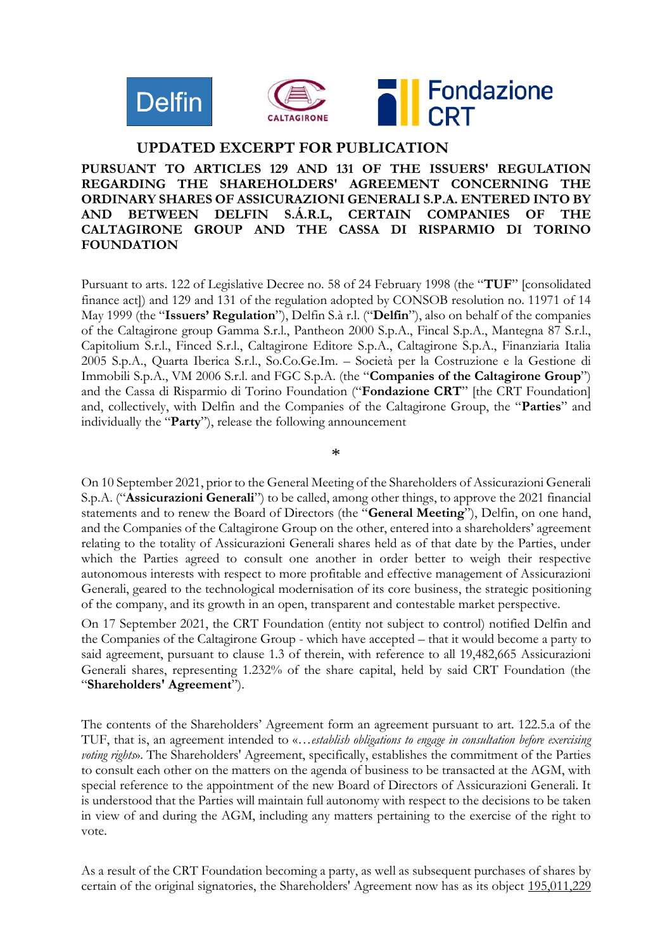

#### **UPDATED EXCERPT FOR PUBLICATION**

### **PURSUANT TO ARTICLES 129 AND 131 OF THE ISSUERS' REGULATION REGARDING THE SHAREHOLDERS' AGREEMENT CONCERNING THE ORDINARY SHARES OF ASSICURAZIONI GENERALI S.P.A. ENTERED INTO BY AND BETWEEN DELFIN S.Á.R.L, CERTAIN COMPANIES OF THE CALTAGIRONE GROUP AND THE CASSA DI RISPARMIO DI TORINO FOUNDATION**

Pursuant to arts. 122 of Legislative Decree no. 58 of 24 February 1998 (the "**TUF**" [consolidated finance act]) and 129 and 131 of the regulation adopted by CONSOB resolution no. 11971 of 14 May 1999 (the "**Issuers' Regulation**"), Delfin S.à r.l. ("**Delfin**"), also on behalf of the companies of the Caltagirone group Gamma S.r.l., Pantheon 2000 S.p.A., Fincal S.p.A., Mantegna 87 S.r.l., Capitolium S.r.l., Finced S.r.l., Caltagirone Editore S.p.A., Caltagirone S.p.A., Finanziaria Italia 2005 S.p.A., Quarta Iberica S.r.l., So.Co.Ge.Im. – Società per la Costruzione e la Gestione di Immobili S.p.A., VM 2006 S.r.l. and FGC S.p.A. (the "**Companies of the Caltagirone Group**") and the Cassa di Risparmio di Torino Foundation ("**Fondazione CRT**" [the CRT Foundation] and, collectively, with Delfin and the Companies of the Caltagirone Group, the "**Parties**" and individually the "**Party**"), release the following announcement

\*

On 10 September 2021, prior to the General Meeting of the Shareholders of Assicurazioni Generali S.p.A. ("**Assicurazioni Generali**") to be called, among other things, to approve the 2021 financial statements and to renew the Board of Directors (the "**General Meeting**"), Delfin, on one hand, and the Companies of the Caltagirone Group on the other, entered into a shareholders' agreement relating to the totality of Assicurazioni Generali shares held as of that date by the Parties, under which the Parties agreed to consult one another in order better to weigh their respective autonomous interests with respect to more profitable and effective management of Assicurazioni Generali, geared to the technological modernisation of its core business, the strategic positioning of the company, and its growth in an open, transparent and contestable market perspective.

On 17 September 2021, the CRT Foundation (entity not subject to control) notified Delfin and the Companies of the Caltagirone Group - which have accepted – that it would become a party to said agreement, pursuant to clause 1.3 of therein, with reference to all 19,482,665 Assicurazioni Generali shares, representing 1.232% of the share capital, held by said CRT Foundation (the "**Shareholders' Agreement**").

The contents of the Shareholders' Agreement form an agreement pursuant to art. 122.5.a of the TUF, that is, an agreement intended to «…*establish obligations to engage in consultation before exercising voting rights*». The Shareholders' Agreement, specifically, establishes the commitment of the Parties to consult each other on the matters on the agenda of business to be transacted at the AGM, with special reference to the appointment of the new Board of Directors of Assicurazioni Generali. It is understood that the Parties will maintain full autonomy with respect to the decisions to be taken in view of and during the AGM, including any matters pertaining to the exercise of the right to vote.

As a result of the CRT Foundation becoming a party, as well as subsequent purchases of shares by certain of the original signatories, the Shareholders' Agreement now has as its object 195,011,229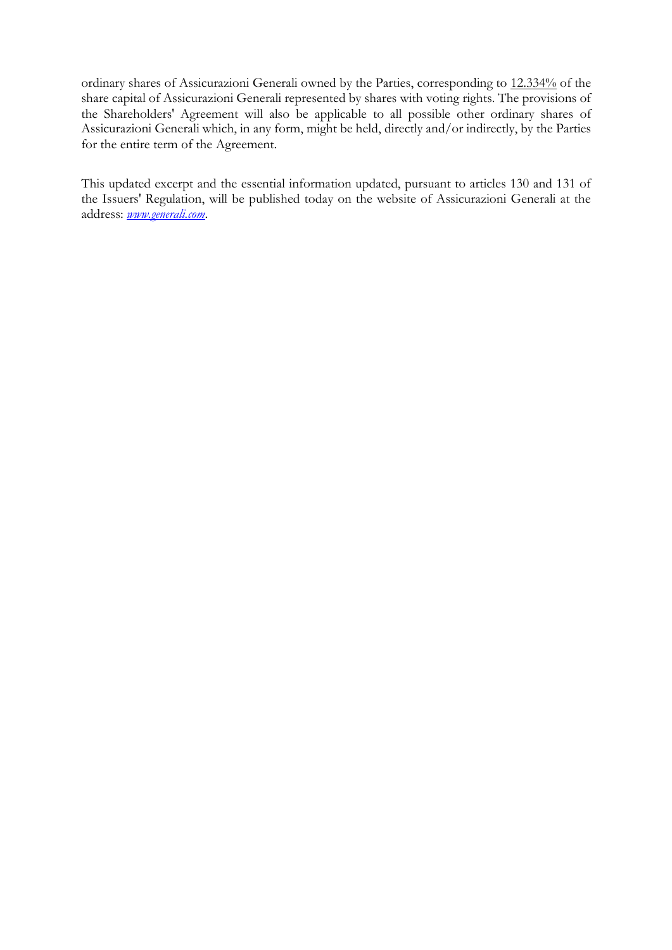ordinary shares of Assicurazioni Generali owned by the Parties, corresponding to 12.334% of the share capital of Assicurazioni Generali represented by shares with voting rights. The provisions of the Shareholders' Agreement will also be applicable to all possible other ordinary shares of Assicurazioni Generali which, in any form, might be held, directly and/or indirectly, by the Parties for the entire term of the Agreement.

This updated excerpt and the essential information updated, pursuant to articles 130 and 131 of the Issuers' Regulation, will be published today on the website of Assicurazioni Generali at the address: *[www.generali.com](http://www.generali.com/)*.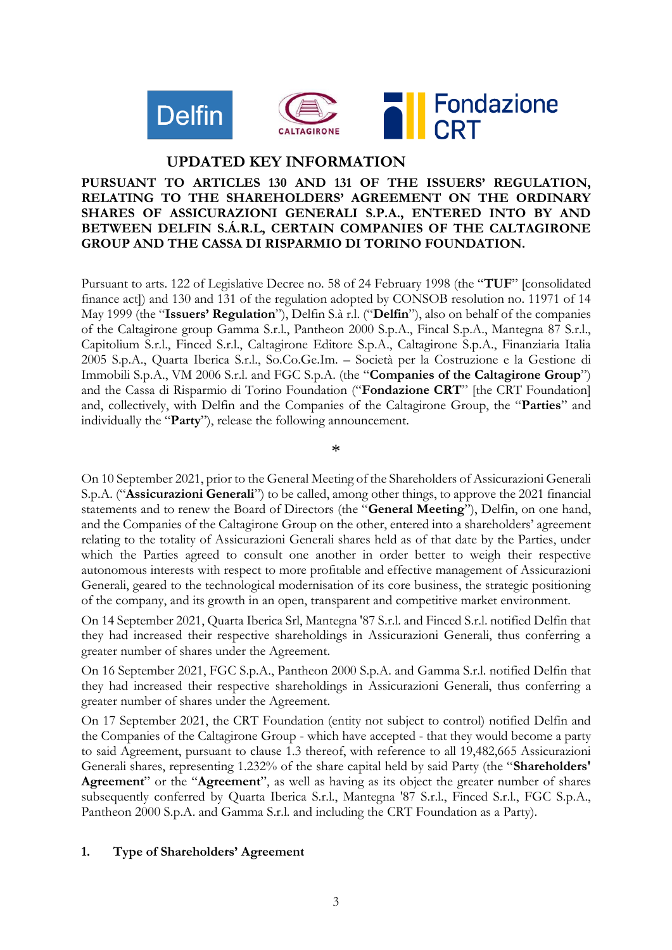

# **UPDATED KEY INFORMATION**

#### **PURSUANT TO ARTICLES 130 AND 131 OF THE ISSUERS' REGULATION, RELATING TO THE SHAREHOLDERS' AGREEMENT ON THE ORDINARY SHARES OF ASSICURAZIONI GENERALI S.P.A., ENTERED INTO BY AND BETWEEN DELFIN S.Á.R.L, CERTAIN COMPANIES OF THE CALTAGIRONE GROUP AND THE CASSA DI RISPARMIO DI TORINO FOUNDATION.**

Pursuant to arts. 122 of Legislative Decree no. 58 of 24 February 1998 (the "**TUF**" [consolidated finance act]) and 130 and 131 of the regulation adopted by CONSOB resolution no. 11971 of 14 May 1999 (the "**Issuers' Regulation**"), Delfin S.à r.l. ("**Delfin**"), also on behalf of the companies of the Caltagirone group Gamma S.r.l., Pantheon 2000 S.p.A., Fincal S.p.A., Mantegna 87 S.r.l., Capitolium S.r.l., Finced S.r.l., Caltagirone Editore S.p.A., Caltagirone S.p.A., Finanziaria Italia 2005 S.p.A., Quarta Iberica S.r.l., So.Co.Ge.Im. – Società per la Costruzione e la Gestione di Immobili S.p.A., VM 2006 S.r.l. and FGC S.p.A. (the "**Companies of the Caltagirone Group**") and the Cassa di Risparmio di Torino Foundation ("**Fondazione CRT**" [the CRT Foundation] and, collectively, with Delfin and the Companies of the Caltagirone Group, the "**Parties**" and individually the "**Party**"), release the following announcement.

\*

On 10 September 2021, prior to the General Meeting of the Shareholders of Assicurazioni Generali S.p.A. ("**Assicurazioni Generali**") to be called, among other things, to approve the 2021 financial statements and to renew the Board of Directors (the "**General Meeting**"), Delfin, on one hand, and the Companies of the Caltagirone Group on the other, entered into a shareholders' agreement relating to the totality of Assicurazioni Generali shares held as of that date by the Parties, under which the Parties agreed to consult one another in order better to weigh their respective autonomous interests with respect to more profitable and effective management of Assicurazioni Generali, geared to the technological modernisation of its core business, the strategic positioning of the company, and its growth in an open, transparent and competitive market environment.

On 14 September 2021, Quarta Iberica Srl, Mantegna '87 S.r.l. and Finced S.r.l. notified Delfin that they had increased their respective shareholdings in Assicurazioni Generali, thus conferring a greater number of shares under the Agreement.

On 16 September 2021, FGC S.p.A., Pantheon 2000 S.p.A. and Gamma S.r.l. notified Delfin that they had increased their respective shareholdings in Assicurazioni Generali, thus conferring a greater number of shares under the Agreement.

On 17 September 2021, the CRT Foundation (entity not subject to control) notified Delfin and the Companies of the Caltagirone Group - which have accepted - that they would become a party to said Agreement, pursuant to clause 1.3 thereof, with reference to all 19,482,665 Assicurazioni Generali shares, representing 1.232% of the share capital held by said Party (the "**Shareholders' Agreement**" or the "**Agreement**", as well as having as its object the greater number of shares subsequently conferred by Quarta Iberica S.r.l., Mantegna '87 S.r.l., Finced S.r.l., FGC S.p.A., Pantheon 2000 S.p.A. and Gamma S.r.l. and including the CRT Foundation as a Party).

### **1. Type of Shareholders' Agreement**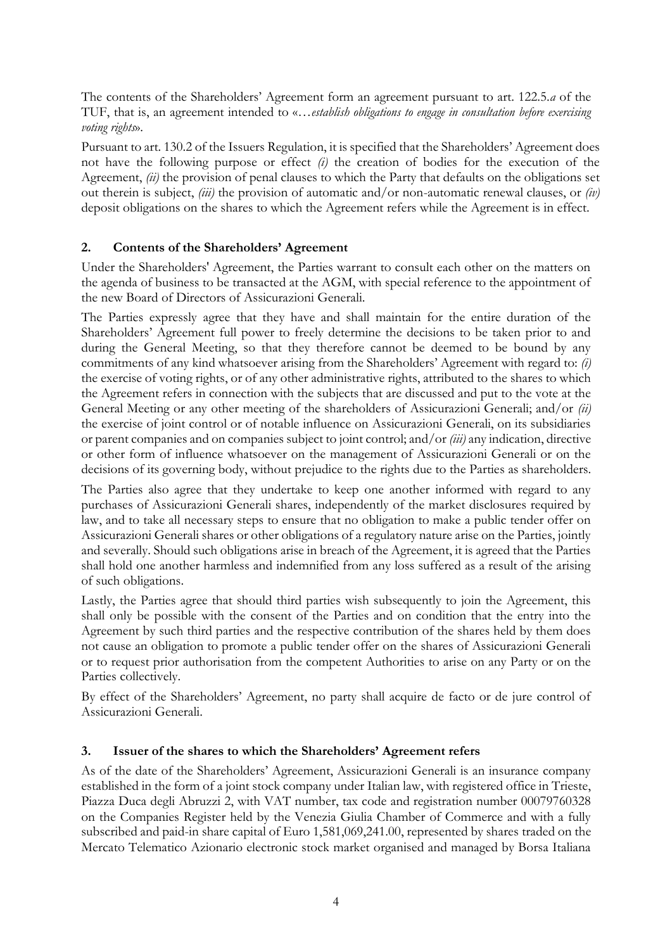The contents of the Shareholders' Agreement form an agreement pursuant to art. 122.5.*a* of the TUF, that is, an agreement intended to «…*establish obligations to engage in consultation before exercising voting rights*».

Pursuant to art. 130.2 of the Issuers Regulation, it is specified that the Shareholders' Agreement does not have the following purpose or effect *(i)* the creation of bodies for the execution of the Agreement, *(ii)* the provision of penal clauses to which the Party that defaults on the obligations set out therein is subject, *(iii)* the provision of automatic and/or non-automatic renewal clauses, or *(iv)* deposit obligations on the shares to which the Agreement refers while the Agreement is in effect.

### **2. Contents of the Shareholders' Agreement**

Under the Shareholders' Agreement, the Parties warrant to consult each other on the matters on the agenda of business to be transacted at the AGM, with special reference to the appointment of the new Board of Directors of Assicurazioni Generali.

The Parties expressly agree that they have and shall maintain for the entire duration of the Shareholders' Agreement full power to freely determine the decisions to be taken prior to and during the General Meeting, so that they therefore cannot be deemed to be bound by any commitments of any kind whatsoever arising from the Shareholders' Agreement with regard to: *(i)* the exercise of voting rights, or of any other administrative rights, attributed to the shares to which the Agreement refers in connection with the subjects that are discussed and put to the vote at the General Meeting or any other meeting of the shareholders of Assicurazioni Generali; and/or *(ii)* the exercise of joint control or of notable influence on Assicurazioni Generali, on its subsidiaries or parent companies and on companies subject to joint control; and/or *(iii)* any indication, directive or other form of influence whatsoever on the management of Assicurazioni Generali or on the decisions of its governing body, without prejudice to the rights due to the Parties as shareholders.

The Parties also agree that they undertake to keep one another informed with regard to any purchases of Assicurazioni Generali shares, independently of the market disclosures required by law, and to take all necessary steps to ensure that no obligation to make a public tender offer on Assicurazioni Generali shares or other obligations of a regulatory nature arise on the Parties, jointly and severally. Should such obligations arise in breach of the Agreement, it is agreed that the Parties shall hold one another harmless and indemnified from any loss suffered as a result of the arising of such obligations.

Lastly, the Parties agree that should third parties wish subsequently to join the Agreement, this shall only be possible with the consent of the Parties and on condition that the entry into the Agreement by such third parties and the respective contribution of the shares held by them does not cause an obligation to promote a public tender offer on the shares of Assicurazioni Generali or to request prior authorisation from the competent Authorities to arise on any Party or on the Parties collectively.

By effect of the Shareholders' Agreement, no party shall acquire de facto or de jure control of Assicurazioni Generali.

#### **3. Issuer of the shares to which the Shareholders' Agreement refers**

As of the date of the Shareholders' Agreement, Assicurazioni Generali is an insurance company established in the form of a joint stock company under Italian law, with registered office in Trieste, Piazza Duca degli Abruzzi 2, with VAT number, tax code and registration number 00079760328 on the Companies Register held by the Venezia Giulia Chamber of Commerce and with a fully subscribed and paid-in share capital of Euro 1,581,069,241.00, represented by shares traded on the Mercato Telematico Azionario electronic stock market organised and managed by Borsa Italiana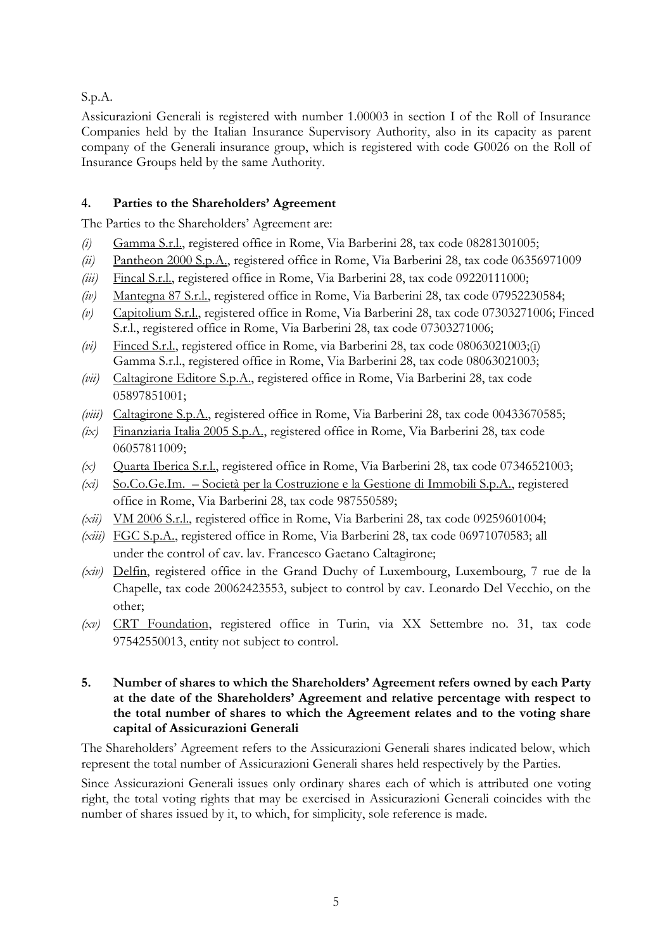S.p.A.

Assicurazioni Generali is registered with number 1.00003 in section I of the Roll of Insurance Companies held by the Italian Insurance Supervisory Authority, also in its capacity as parent company of the Generali insurance group, which is registered with code G0026 on the Roll of Insurance Groups held by the same Authority.

## **4. Parties to the Shareholders' Agreement**

The Parties to the Shareholders' Agreement are:

- *(i)* Gamma S.r.l., registered office in Rome, Via Barberini 28, tax code 08281301005;
- *(ii)* Pantheon 2000 S.p.A., registered office in Rome, Via Barberini 28, tax code 06356971009
- *(iii)* Fincal S.r.l., registered office in Rome, Via Barberini 28, tax code 09220111000;
- *(iv)* Mantegna 87 S.r.l., registered office in Rome, Via Barberini 28, tax code 07952230584;
- *(v)* Capitolium S.r.l., registered office in Rome, Via Barberini 28, tax code 07303271006; Finced S.r.l., registered office in Rome, Via Barberini 28, tax code 07303271006;
- *(vi)* Finced S.r.l., registered office in Rome, via Barberini 28, tax code 08063021003;(i) Gamma S.r.l., registered office in Rome, Via Barberini 28, tax code 08063021003;
- *(vii)* Caltagirone Editore S.p.A., registered office in Rome, Via Barberini 28, tax code 05897851001;
- *(viii)* Caltagirone S.p.A., registered office in Rome, Via Barberini 28, tax code 00433670585;
- *(ix)* Finanziaria Italia 2005 S.p.A., registered office in Rome, Via Barberini 28, tax code 06057811009;
- *(x)* Quarta Iberica S.r.l., registered office in Rome, Via Barberini 28, tax code 07346521003;
- *(xi)* So.Co.Ge.Im. Società per la Costruzione e la Gestione di Immobili S.p.A., registered office in Rome, Via Barberini 28, tax code 987550589;
- *(xii)* VM 2006 S.r.l., registered office in Rome, Via Barberini 28, tax code 09259601004;
- *(xiii)* FGC S.p.A., registered office in Rome, Via Barberini 28, tax code 06971070583; all under the control of cav. lav. Francesco Gaetano Caltagirone;
- *(xiv)* Delfin, registered office in the Grand Duchy of Luxembourg, Luxembourg, 7 rue de la Chapelle, tax code 20062423553, subject to control by cav. Leonardo Del Vecchio, on the other;
- *(xv)* CRT Foundation, registered office in Turin, via XX Settembre no. 31, tax code 97542550013, entity not subject to control.
- **5. Number of shares to which the Shareholders' Agreement refers owned by each Party at the date of the Shareholders' Agreement and relative percentage with respect to the total number of shares to which the Agreement relates and to the voting share capital of Assicurazioni Generali**

The Shareholders' Agreement refers to the Assicurazioni Generali shares indicated below, which represent the total number of Assicurazioni Generali shares held respectively by the Parties.

Since Assicurazioni Generali issues only ordinary shares each of which is attributed one voting right, the total voting rights that may be exercised in Assicurazioni Generali coincides with the number of shares issued by it, to which, for simplicity, sole reference is made.